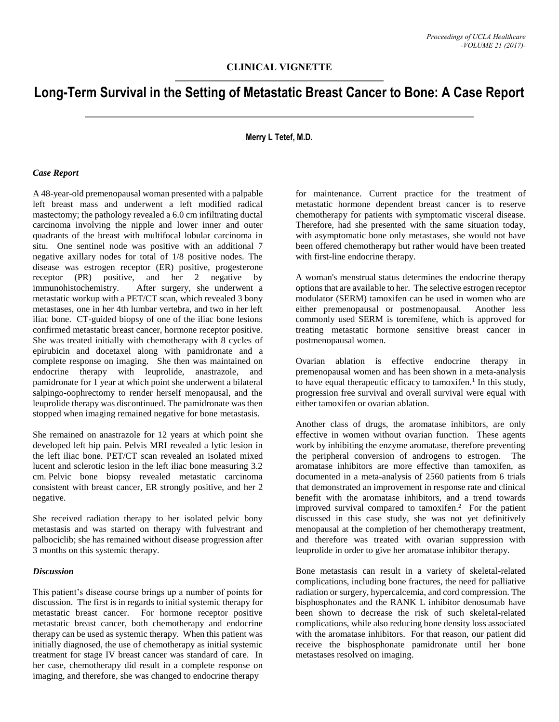# **Long-Term Survival in the Setting of Metastatic Breast Cancer to Bone: A Case Report**

## **Merry L Tetef, M.D.**

#### *Case Report*

A 48-year-old premenopausal woman presented with a palpable left breast mass and underwent a left modified radical mastectomy; the pathology revealed a 6.0 cm infiltrating ductal carcinoma involving the nipple and lower inner and outer quadrants of the breast with multifocal lobular carcinoma in situ. One sentinel node was positive with an additional 7 negative axillary nodes for total of 1/8 positive nodes. The disease was estrogen receptor (ER) positive, progesterone receptor (PR) positive, and her 2 negative by immunohistochemistry. After surgery, she underwent a metastatic workup with a PET/CT scan, which revealed 3 bony metastases, one in her 4th lumbar vertebra, and two in her left iliac bone. CT-guided biopsy of one of the iliac bone lesions confirmed metastatic breast cancer, hormone receptor positive. She was treated initially with chemotherapy with 8 cycles of epirubicin and docetaxel along with pamidronate and a complete response on imaging. She then was maintained on endocrine therapy with leuprolide, anastrazole, and pamidronate for 1 year at which point she underwent a bilateral salpingo-oophrectomy to render herself menopausal, and the leuprolide therapy was discontinued. The pamidronate was then stopped when imaging remained negative for bone metastasis.

She remained on anastrazole for 12 years at which point she developed left hip pain. Pelvis MRI revealed a lytic lesion in the left iliac bone. PET/CT scan revealed an isolated mixed lucent and sclerotic lesion in the left iliac bone measuring 3.2 cm. Pelvic bone biopsy revealed metastatic carcinoma consistent with breast cancer, ER strongly positive, and her 2 negative.

She received radiation therapy to her isolated pelvic bony metastasis and was started on therapy with fulvestrant and palbociclib; she has remained without disease progression after 3 months on this systemic therapy.

#### *Discussion*

This patient's disease course brings up a number of points for discussion. The first is in regards to initial systemic therapy for metastatic breast cancer. For hormone receptor positive metastatic breast cancer, both chemotherapy and endocrine therapy can be used as systemic therapy. When this patient was initially diagnosed, the use of chemotherapy as initial systemic treatment for stage IV breast cancer was standard of care. In her case, chemotherapy did result in a complete response on imaging, and therefore, she was changed to endocrine therapy

for maintenance. Current practice for the treatment of metastatic hormone dependent breast cancer is to reserve chemotherapy for patients with symptomatic visceral disease. Therefore, had she presented with the same situation today, with asymptomatic bone only metastases, she would not have been offered chemotherapy but rather would have been treated with first-line endocrine therapy.

A woman's menstrual status determines the endocrine therapy options that are available to her. The selective estrogen receptor modulator (SERM) tamoxifen can be used in women who are either premenopausal or postmenopausal. Another less commonly used SERM is toremifene, which is approved for treating metastatic hormone sensitive breast cancer in postmenopausal women.

Ovarian ablation is effective endocrine therapy in premenopausal women and has been shown in a meta-analysis to have equal therapeutic efficacy to tamoxifen. 1 In this study, progression free survival and overall survival were equal with either tamoxifen or ovarian ablation.

Another class of drugs, the aromatase inhibitors, are only effective in women without ovarian function. These agents work by inhibiting the enzyme aromatase, therefore preventing the peripheral conversion of androgens to estrogen. The aromatase inhibitors are more effective than tamoxifen, as documented in a meta-analysis of 2560 patients from 6 trials that demonstrated an improvement in response rate and clinical benefit with the aromatase inhibitors, and a trend towards improved survival compared to tamoxifen.<sup>2</sup> For the patient discussed in this case study, she was not yet definitively menopausal at the completion of her chemotherapy treatment, and therefore was treated with ovarian suppression with leuprolide in order to give her aromatase inhibitor therapy.

Bone metastasis can result in a variety of skeletal-related complications, including bone fractures, the need for palliative radiation or surgery, hypercalcemia, and cord compression. The bisphosphonates and the RANK L inhibitor denosumab have been shown to decrease the risk of such skeletal-related complications, while also reducing bone density loss associated with the aromatase inhibitors. For that reason, our patient did receive the bisphosphonate pamidronate until her bone metastases resolved on imaging.